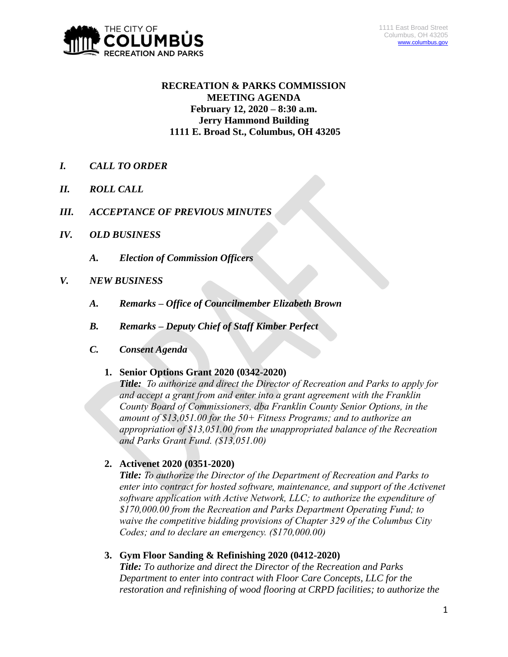

# **RECREATION & PARKS COMMISSION MEETING AGENDA February 12, 2020 – 8:30 a.m. Jerry Hammond Building 1111 E. Broad St., Columbus, OH 43205**

- *I. CALL TO ORDER*
- *II. ROLL CALL*
- *III. ACCEPTANCE OF PREVIOUS MINUTES*
- *IV. OLD BUSINESS*
	- *A. Election of Commission Officers*
- *V. NEW BUSINESS*
	- *A. Remarks – Office of Councilmember Elizabeth Brown*
	- *B. Remarks – Deputy Chief of Staff Kimber Perfect*
	- *C. Consent Agenda*

# **1. Senior Options Grant 2020 (0342-2020)**

*Title: To authorize and direct the Director of Recreation and Parks to apply for and accept a grant from and enter into a grant agreement with the Franklin County Board of Commissioners, dba Franklin County Senior Options, in the amount of \$13,051.00 for the 50+ Fitness Programs; and to authorize an appropriation of \$13,051.00 from the unappropriated balance of the Recreation and Parks Grant Fund. (\$13,051.00)*

# **2. Activenet 2020 (0351-2020)**

*Title: To authorize the Director of the Department of Recreation and Parks to enter into contract for hosted software, maintenance, and support of the Activenet software application with Active Network, LLC; to authorize the expenditure of \$170,000.00 from the Recreation and Parks Department Operating Fund; to waive the competitive bidding provisions of Chapter 329 of the Columbus City Codes; and to declare an emergency. (\$170,000.00)*

# **3. Gym Floor Sanding & Refinishing 2020 (0412-2020)**

*Title: To authorize and direct the Director of the Recreation and Parks Department to enter into contract with Floor Care Concepts, LLC for the restoration and refinishing of wood flooring at CRPD facilities; to authorize the*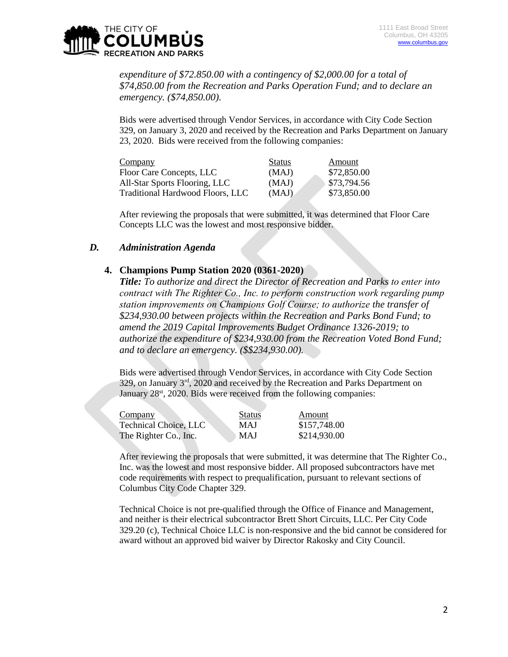

*expenditure of \$72.850.00 with a contingency of \$2,000.00 for a total of \$74,850.00 from the Recreation and Parks Operation Fund; and to declare an emergency. (\$74,850.00).*

Bids were advertised through Vendor Services, in accordance with City Code Section 329, on January 3, 2020 and received by the Recreation and Parks Department on January 23, 2020. Bids were received from the following companies:

| Company                          | <b>Status</b> | Amount      |
|----------------------------------|---------------|-------------|
| Floor Care Concepts, LLC         | (MAJ)         | \$72,850.00 |
| All-Star Sports Flooring, LLC    | (MAJ)         | \$73,794.56 |
| Traditional Hardwood Floors, LLC | (MAJ)         | \$73,850.00 |

After reviewing the proposals that were submitted, it was determined that Floor Care Concepts LLC was the lowest and most responsive bidder.

### *D. Administration Agenda*

### **4. Champions Pump Station 2020 (0361-2020)**

*Title: To authorize and direct the Director of Recreation and Parks to enter into contract with The Righter Co., Inc. to perform construction work regarding pump station improvements on Champions Golf Course; to authorize the transfer of \$234,930.00 between projects within the Recreation and Parks Bond Fund; to amend the 2019 Capital Improvements Budget Ordinance 1326-2019; to authorize the expenditure of \$234,930.00 from the Recreation Voted Bond Fund; and to declare an emergency. (\$\$234,930.00).*

Bids were advertised through Vendor Services, in accordance with City Code Section 329, on January 3rd, 2020 and received by the Recreation and Parks Department on January 28<sup>st</sup>, 2020. Bids were received from the following companies:

| Company                      | <b>Status</b> | Amount       |
|------------------------------|---------------|--------------|
| <b>Technical Choice, LLC</b> | MAJ           | \$157,748.00 |
| The Righter Co., Inc.        | <b>MAJ</b>    | \$214,930.00 |

After reviewing the proposals that were submitted, it was determine that The Righter Co., Inc. was the lowest and most responsive bidder. All proposed subcontractors have met code requirements with respect to prequalification, pursuant to relevant sections of Columbus City Code Chapter 329.

Technical Choice is not pre-qualified through the Office of Finance and Management, and neither is their electrical subcontractor Brett Short Circuits, LLC. Per City Code 329.20 (c), Technical Choice LLC is non-responsive and the bid cannot be considered for award without an approved bid waiver by Director Rakosky and City Council.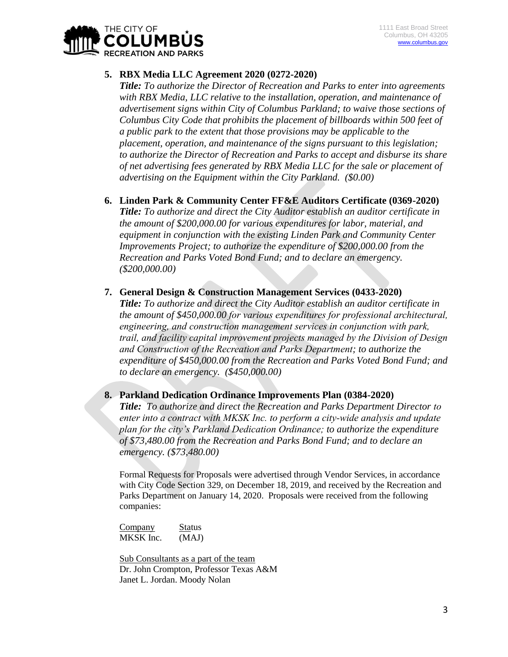

# **5. RBX Media LLC Agreement 2020 (0272-2020)**

*Title: To authorize the Director of Recreation and Parks to enter into agreements with RBX Media, LLC relative to the installation, operation, and maintenance of advertisement signs within City of Columbus Parkland; to waive those sections of Columbus City Code that prohibits the placement of billboards within 500 feet of a public park to the extent that those provisions may be applicable to the placement, operation, and maintenance of the signs pursuant to this legislation; to authorize the Director of Recreation and Parks to accept and disburse its share of net advertising fees generated by RBX Media LLC for the sale or placement of advertising on the Equipment within the City Parkland. (\$0.00)*

- **6. Linden Park & Community Center FF&E Auditors Certificate (0369-2020)** *Title: To authorize and direct the City Auditor establish an auditor certificate in the amount of \$200,000.00 for various expenditures for labor, material, and equipment in conjunction with the existing Linden Park and Community Center Improvements Project; to authorize the expenditure of \$200,000.00 from the Recreation and Parks Voted Bond Fund; and to declare an emergency. (\$200,000.00)*
- **7. General Design & Construction Management Services (0433-2020)** *Title: To authorize and direct the City Auditor establish an auditor certificate in the amount of \$450,000.00 for various expenditures for professional architectural, engineering, and construction management services in conjunction with park, trail, and facility capital improvement projects managed by the Division of Design and Construction of the Recreation and Parks Department; to authorize the expenditure of \$450,000.00 from the Recreation and Parks Voted Bond Fund; and to declare an emergency. (\$450,000.00)*

### **8. Parkland Dedication Ordinance Improvements Plan (0384-2020)**

*Title: To authorize and direct the Recreation and Parks Department Director to enter into a contract with MKSK Inc. to perform a city-wide analysis and update plan for the city's Parkland Dedication Ordinance; to authorize the expenditure of \$73,480.00 from the Recreation and Parks Bond Fund; and to declare an emergency. (\$73,480.00)*

Formal Requests for Proposals were advertised through Vendor Services, in accordance with City Code Section 329, on December 18, 2019, and received by the Recreation and Parks Department on January 14, 2020. Proposals were received from the following companies:

Company Status MKSK Inc. (MAJ)

Sub Consultants as a part of the team Dr. John Crompton, Professor Texas A&M Janet L. Jordan. Moody Nolan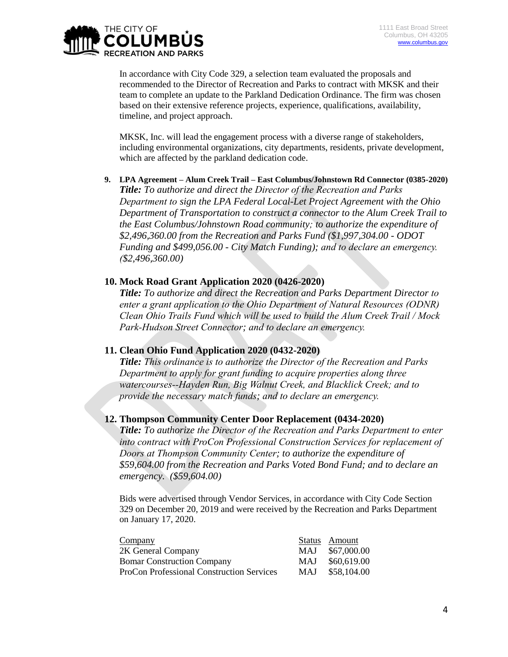

In accordance with City Code 329, a selection team evaluated the proposals and recommended to the Director of Recreation and Parks to contract with MKSK and their team to complete an update to the Parkland Dedication Ordinance. The firm was chosen based on their extensive reference projects, experience, qualifications, availability, timeline, and project approach.

MKSK, Inc. will lead the engagement process with a diverse range of stakeholders, including environmental organizations, city departments, residents, private development, which are affected by the parkland dedication code.

**9. LPA Agreement – Alum Creek Trail – East Columbus/Johnstown Rd Connector (0385-2020)** *Title: To authorize and direct the Director of the Recreation and Parks Department to sign the LPA Federal Local-Let Project Agreement with the Ohio Department of Transportation to construct a connector to the Alum Creek Trail to the East Columbus/Johnstown Road community; to authorize the expenditure of \$2,496,360.00 from the Recreation and Parks Fund (\$1,997,304.00 - ODOT Funding and \$499,056.00 - City Match Funding); and to declare an emergency. (\$2,496,360.00)*

## **10. Mock Road Grant Application 2020 (0426-2020)**

*Title: To authorize and direct the Recreation and Parks Department Director to enter a grant application to the Ohio Department of Natural Resources (ODNR) Clean Ohio Trails Fund which will be used to build the Alum Creek Trail / Mock Park-Hudson Street Connector; and to declare an emergency.*

#### **11. Clean Ohio Fund Application 2020 (0432-2020)**

*Title: This ordinance is to authorize the Director of the Recreation and Parks Department to apply for grant funding to acquire properties along three watercourses--Hayden Run, Big Walnut Creek, and Blacklick Creek; and to provide the necessary match funds; and to declare an emergency.*

#### **12. Thompson Community Center Door Replacement (0434-2020)**

*Title: To authorize the Director of the Recreation and Parks Department to enter into contract with ProCon Professional Construction Services for replacement of Doors at Thompson Community Center; to authorize the expenditure of \$59,604.00 from the Recreation and Parks Voted Bond Fund; and to declare an emergency. (\$59,604.00)*

Bids were advertised through Vendor Services, in accordance with City Code Section 329 on December 20, 2019 and were received by the Recreation and Parks Department on January 17, 2020.

| Company                                          |            | Status Amount |
|--------------------------------------------------|------------|---------------|
| 2K General Company                               | MAJ.       | \$67,000.00   |
| <b>Bomar Construction Company</b>                | MAJ        | \$60,619.00   |
| <b>ProCon Professional Construction Services</b> | <b>MAJ</b> | \$58,104.00   |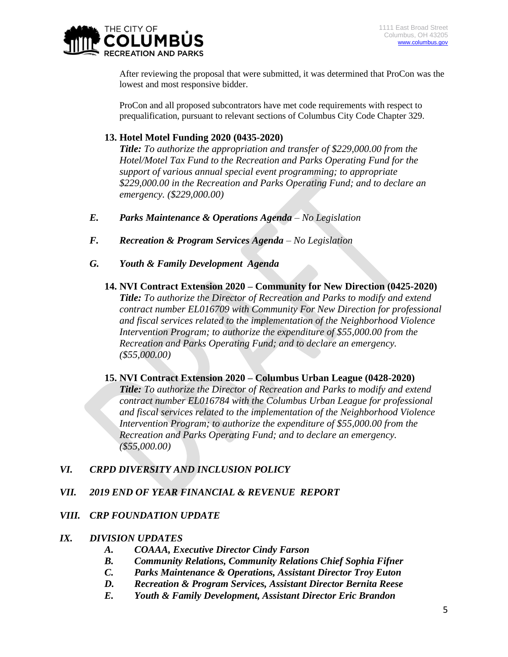

After reviewing the proposal that were submitted, it was determined that ProCon was the lowest and most responsive bidder.

ProCon and all proposed subcontrators have met code requirements with respect to prequalification, pursuant to relevant sections of Columbus City Code Chapter 329.

# **13. Hotel Motel Funding 2020 (0435-2020)**

*Title: To authorize the appropriation and transfer of \$229,000.00 from the Hotel/Motel Tax Fund to the Recreation and Parks Operating Fund for the support of various annual special event programming; to appropriate \$229,000.00 in the Recreation and Parks Operating Fund; and to declare an emergency. (\$229,000.00)*

- *E. Parks Maintenance & Operations Agenda – No Legislation*
- *F. Recreation & Program Services Agenda – No Legislation*
- *G. Youth & Family Development Agenda*
	- **14. NVI Contract Extension 2020 – Community for New Direction (0425-2020)** *Title: To authorize the Director of Recreation and Parks to modify and extend contract number EL016709 with Community For New Direction for professional and fiscal services related to the implementation of the Neighborhood Violence Intervention Program; to authorize the expenditure of \$55,000.00 from the Recreation and Parks Operating Fund; and to declare an emergency. (\$55,000.00)*
	- **15. NVI Contract Extension 2020 – Columbus Urban League (0428-2020)** *Title: To authorize the Director of Recreation and Parks to modify and extend contract number EL016784 with the Columbus Urban League for professional and fiscal services related to the implementation of the Neighborhood Violence Intervention Program; to authorize the expenditure of \$55,000.00 from the Recreation and Parks Operating Fund; and to declare an emergency. (\$55,000.00)*

# *VI. CRPD DIVERSITY AND INCLUSION POLICY*

# *VII. 2019 END OF YEAR FINANCIAL & REVENUE REPORT*

# *VIII. CRP FOUNDATION UPDATE*

#### *IX. DIVISION UPDATES*

- *A. COAAA, Executive Director Cindy Farson*
- *B. Community Relations, Community Relations Chief Sophia Fifner*
- *C. Parks Maintenance & Operations, Assistant Director Troy Euton*
- *D. Recreation & Program Services, Assistant Director Bernita Reese*
- *E. Youth & Family Development, Assistant Director Eric Brandon*